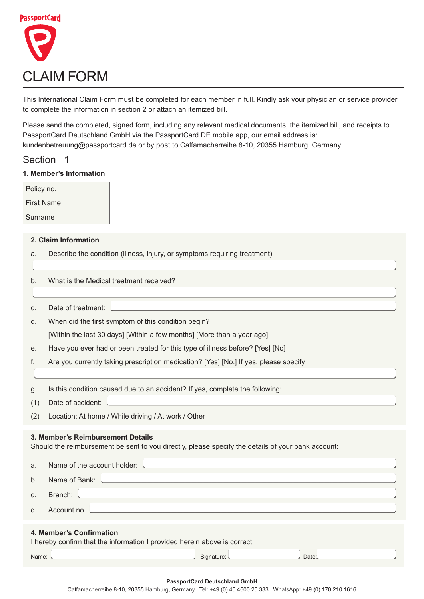

This International Claim Form must be completed for each member in full. Kindly ask your physician or service provider to complete the information in section 2 or attach an itemized bill.

Please send the completed, signed form, including any relevant medical documents, the itemized bill, and receipts to PassportCard Deutschland GmbH via the PassportCard DE mobile app, our email address is: kundenbetreuung@passportcard.de or by post to Caffamacherreihe 8-10, 20355 Hamburg, Germany

## Section | 1

### **1. Member's Information**

| Policy no.        |  |
|-------------------|--|
| <b>First Name</b> |  |
| Surname           |  |

#### **Information Claim 2.**

a. Describe the condition (illness, injury, or symptoms requiring treatment)

| b.                                                                                                                                      | What is the Medical treatment received?                                                                                           |  |  |
|-----------------------------------------------------------------------------------------------------------------------------------------|-----------------------------------------------------------------------------------------------------------------------------------|--|--|
| C.                                                                                                                                      | Date of treatment:                                                                                                                |  |  |
| d.                                                                                                                                      | When did the first symptom of this condition begin?                                                                               |  |  |
|                                                                                                                                         | [Within the last 30 days] [Within a few months] [More than a year ago]                                                            |  |  |
| е.                                                                                                                                      | Have you ever had or been treated for this type of illness before? [Yes] [No]                                                     |  |  |
| f.                                                                                                                                      | Are you currently taking prescription medication? [Yes] [No.] If yes, please specify                                              |  |  |
|                                                                                                                                         |                                                                                                                                   |  |  |
| g.                                                                                                                                      | Is this condition caused due to an accident? If yes, complete the following:                                                      |  |  |
| (1)                                                                                                                                     | Date of accident:                                                                                                                 |  |  |
| (2)                                                                                                                                     | Location: At home / While driving / At work / Other                                                                               |  |  |
| 3. Member's Reimbursement Details<br>Should the reimbursement be sent to you directly, please specify the details of your bank account: |                                                                                                                                   |  |  |
| a.                                                                                                                                      | Name of the account holder:                                                                                                       |  |  |
| b.                                                                                                                                      | Name of Bank:                                                                                                                     |  |  |
| C.                                                                                                                                      | Branch:<br><u> 1989 - Johann Stoff, deutscher Stoffen und der Stoffen und der Stoffen und der Stoffen und der Stoffen und der</u> |  |  |
| d.                                                                                                                                      | Account no.                                                                                                                       |  |  |
| 4. Member's Confirmation<br>I hereby confirm that the information I provided herein above is correct.<br>Signature:<br>Date:<br>Name:   |                                                                                                                                   |  |  |
|                                                                                                                                         |                                                                                                                                   |  |  |

#### **PassportCard Deutschland GmbH**

Caffamacherreihe 8-10, 20355 Hamburg, Germany | Tel: +49 (0) 40 4600 20 333 | WhatsApp: +49 (0) 170 210 1616